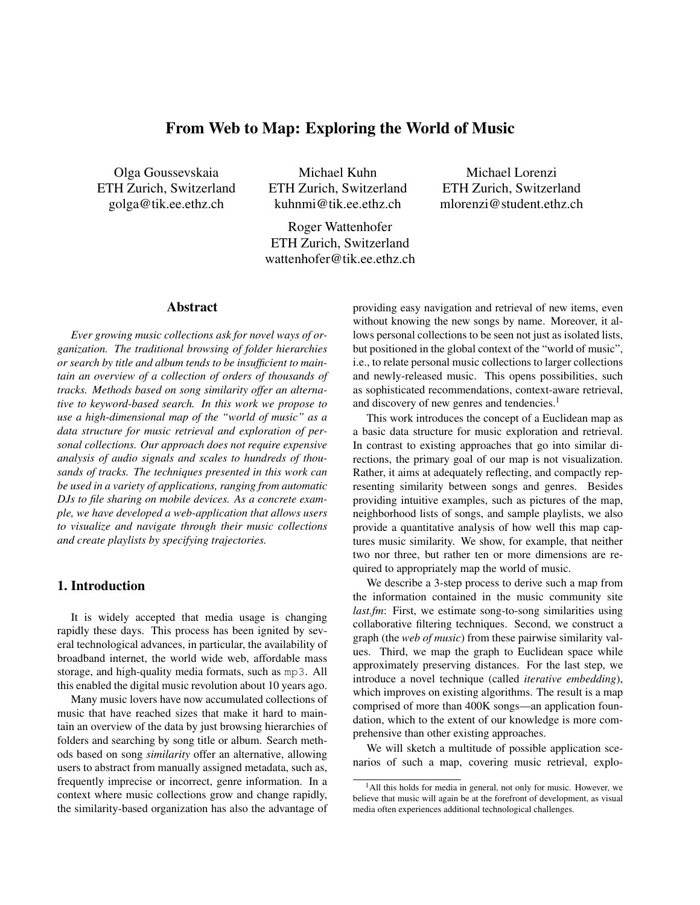# From Web to Map: Exploring the World of Music

Olga Goussevskaia ETH Zurich, Switzerland golga@tik.ee.ethz.ch

Michael Kuhn ETH Zurich, Switzerland kuhnmi@tik.ee.ethz.ch

Roger Wattenhofer ETH Zurich, Switzerland wattenhofer@tik.ee.ethz.ch

Michael Lorenzi ETH Zurich, Switzerland mlorenzi@student.ethz.ch

#### Abstract

*Ever growing music collections ask for novel ways of organization. The traditional browsing of folder hierarchies or search by title and album tends to be insufficient to maintain an overview of a collection of orders of thousands of tracks. Methods based on song similarity offer an alternative to keyword-based search. In this work we propose to use a high-dimensional map of the "world of music" as a data structure for music retrieval and exploration of personal collections. Our approach does not require expensive analysis of audio signals and scales to hundreds of thousands of tracks. The techniques presented in this work can be used in a variety of applications, ranging from automatic DJs to file sharing on mobile devices. As a concrete example, we have developed a web-application that allows users to visualize and navigate through their music collections and create playlists by specifying trajectories.*

# 1. Introduction

It is widely accepted that media usage is changing rapidly these days. This process has been ignited by several technological advances, in particular, the availability of broadband internet, the world wide web, affordable mass storage, and high-quality media formats, such as mp3. All this enabled the digital music revolution about 10 years ago.

Many music lovers have now accumulated collections of music that have reached sizes that make it hard to maintain an overview of the data by just browsing hierarchies of folders and searching by song title or album. Search methods based on song *similarity* offer an alternative, allowing users to abstract from manually assigned metadata, such as, frequently imprecise or incorrect, genre information. In a context where music collections grow and change rapidly, the similarity-based organization has also the advantage of providing easy navigation and retrieval of new items, even without knowing the new songs by name. Moreover, it allows personal collections to be seen not just as isolated lists, but positioned in the global context of the "world of music", i.e., to relate personal music collections to larger collections and newly-released music. This opens possibilities, such as sophisticated recommendations, context-aware retrieval, and discovery of new genres and tendencies.<sup>1</sup>

This work introduces the concept of a Euclidean map as a basic data structure for music exploration and retrieval. In contrast to existing approaches that go into similar directions, the primary goal of our map is not visualization. Rather, it aims at adequately reflecting, and compactly representing similarity between songs and genres. Besides providing intuitive examples, such as pictures of the map, neighborhood lists of songs, and sample playlists, we also provide a quantitative analysis of how well this map captures music similarity. We show, for example, that neither two nor three, but rather ten or more dimensions are required to appropriately map the world of music.

We describe a 3-step process to derive such a map from the information contained in the music community site *last.fm*: First, we estimate song-to-song similarities using collaborative filtering techniques. Second, we construct a graph (the *web of music*) from these pairwise similarity values. Third, we map the graph to Euclidean space while approximately preserving distances. For the last step, we introduce a novel technique (called *iterative embedding*), which improves on existing algorithms. The result is a map comprised of more than 400K songs—an application foundation, which to the extent of our knowledge is more comprehensive than other existing approaches.

We will sketch a multitude of possible application scenarios of such a map, covering music retrieval, explo-

 $<sup>1</sup>$ All this holds for media in general, not only for music. However, we</sup> believe that music will again be at the forefront of development, as visual media often experiences additional technological challenges.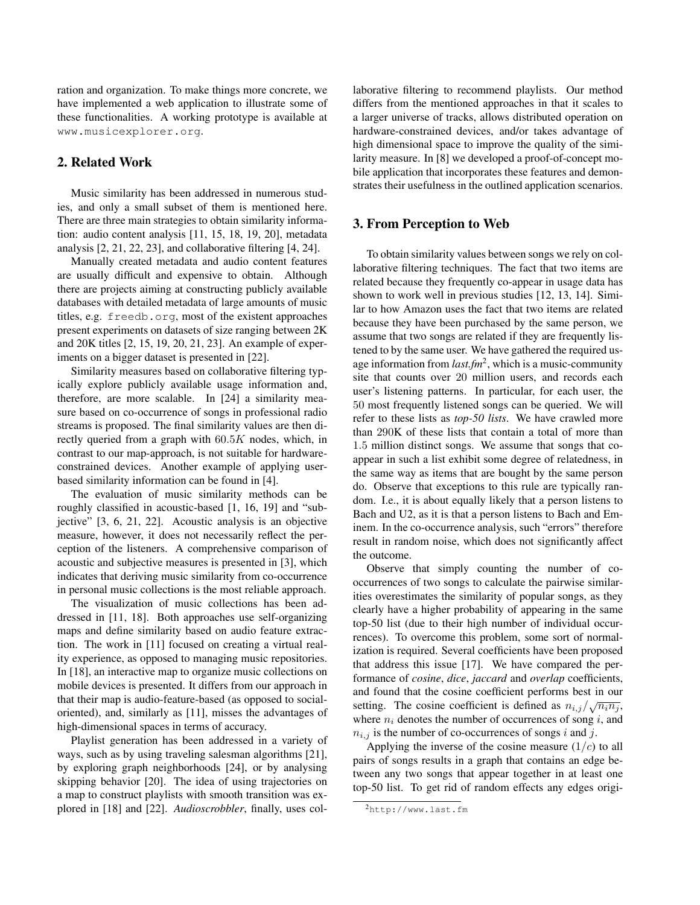ration and organization. To make things more concrete, we have implemented a web application to illustrate some of these functionalities. A working prototype is available at www.musicexplorer.org.

# 2. Related Work

Music similarity has been addressed in numerous studies, and only a small subset of them is mentioned here. There are three main strategies to obtain similarity information: audio content analysis [11, 15, 18, 19, 20], metadata analysis [2, 21, 22, 23], and collaborative filtering [4, 24].

Manually created metadata and audio content features are usually difficult and expensive to obtain. Although there are projects aiming at constructing publicly available databases with detailed metadata of large amounts of music titles, e.g. freedb.org, most of the existent approaches present experiments on datasets of size ranging between 2K and 20K titles [2, 15, 19, 20, 21, 23]. An example of experiments on a bigger dataset is presented in [22].

Similarity measures based on collaborative filtering typically explore publicly available usage information and, therefore, are more scalable. In [24] a similarity measure based on co-occurrence of songs in professional radio streams is proposed. The final similarity values are then directly queried from a graph with  $60.5K$  nodes, which, in contrast to our map-approach, is not suitable for hardwareconstrained devices. Another example of applying userbased similarity information can be found in [4].

The evaluation of music similarity methods can be roughly classified in acoustic-based [1, 16, 19] and "subjective" [3, 6, 21, 22]. Acoustic analysis is an objective measure, however, it does not necessarily reflect the perception of the listeners. A comprehensive comparison of acoustic and subjective measures is presented in [3], which indicates that deriving music similarity from co-occurrence in personal music collections is the most reliable approach.

The visualization of music collections has been addressed in [11, 18]. Both approaches use self-organizing maps and define similarity based on audio feature extraction. The work in [11] focused on creating a virtual reality experience, as opposed to managing music repositories. In [18], an interactive map to organize music collections on mobile devices is presented. It differs from our approach in that their map is audio-feature-based (as opposed to socialoriented), and, similarly as [11], misses the advantages of high-dimensional spaces in terms of accuracy.

Playlist generation has been addressed in a variety of ways, such as by using traveling salesman algorithms [21], by exploring graph neighborhoods [24], or by analysing skipping behavior [20]. The idea of using trajectories on a map to construct playlists with smooth transition was explored in [18] and [22]. *Audioscrobbler*, finally, uses collaborative filtering to recommend playlists. Our method differs from the mentioned approaches in that it scales to a larger universe of tracks, allows distributed operation on hardware-constrained devices, and/or takes advantage of high dimensional space to improve the quality of the similarity measure. In [8] we developed a proof-of-concept mobile application that incorporates these features and demonstrates their usefulness in the outlined application scenarios.

### 3. From Perception to Web

To obtain similarity values between songs we rely on collaborative filtering techniques. The fact that two items are related because they frequently co-appear in usage data has shown to work well in previous studies [12, 13, 14]. Similar to how Amazon uses the fact that two items are related because they have been purchased by the same person, we assume that two songs are related if they are frequently listened to by the same user. We have gathered the required usage information from *last.fm*2, which is a music-community site that counts over 20 million users, and records each user's listening patterns. In particular, for each user, the 50 most frequently listened songs can be queried. We will refer to these lists as *top-50 lists*. We have crawled more than 290K of these lists that contain a total of more than 1.5 million distinct songs. We assume that songs that coappear in such a list exhibit some degree of relatedness, in the same way as items that are bought by the same person do. Observe that exceptions to this rule are typically random. I.e., it is about equally likely that a person listens to Bach and U2, as it is that a person listens to Bach and Eminem. In the co-occurrence analysis, such "errors" therefore result in random noise, which does not significantly affect the outcome.

Observe that simply counting the number of cooccurrences of two songs to calculate the pairwise similarities overestimates the similarity of popular songs, as they clearly have a higher probability of appearing in the same top-50 list (due to their high number of individual occurrences). To overcome this problem, some sort of normalization is required. Several coefficients have been proposed that address this issue [17]. We have compared the performance of *cosine*, *dice*, *jaccard* and *overlap* coefficients, and found that the cosine coefficient performs best in our setting. The cosine coefficient is defined as  $n_{i,j}/\sqrt{n_i n_j}$ , where  $n_i$  denotes the number of occurrences of song i, and  $n_{i,j}$  is the number of co-occurrences of songs i and j.

Applying the inverse of the cosine measure  $(1/c)$  to all pairs of songs results in a graph that contains an edge between any two songs that appear together in at least one top-50 list. To get rid of random effects any edges origi-

<sup>2</sup>http://www.last.fm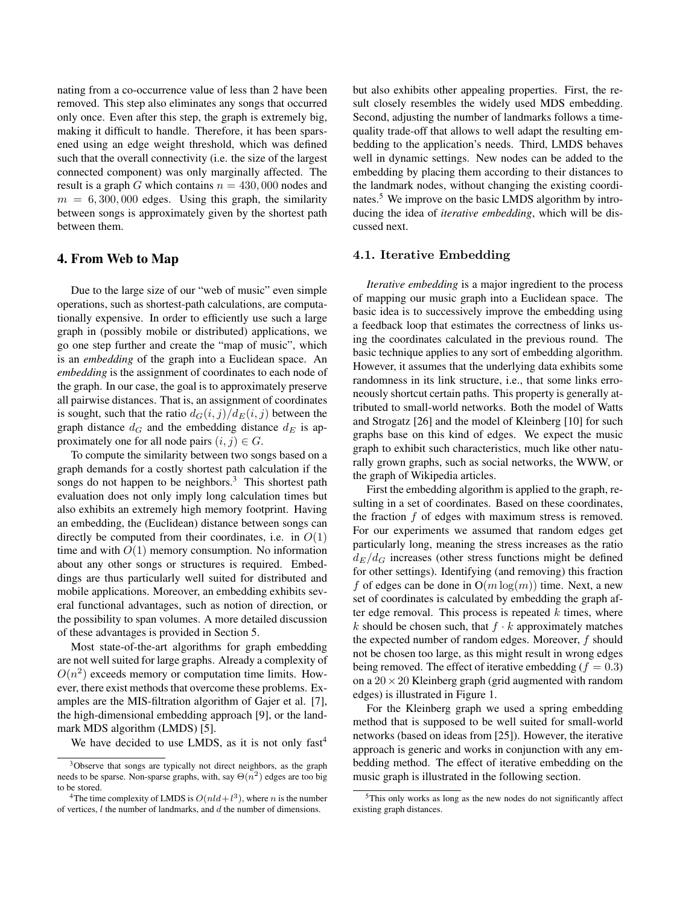nating from a co-occurrence value of less than 2 have been removed. This step also eliminates any songs that occurred only once. Even after this step, the graph is extremely big, making it difficult to handle. Therefore, it has been sparsened using an edge weight threshold, which was defined such that the overall connectivity (i.e. the size of the largest connected component) was only marginally affected. The result is a graph G which contains  $n = 430,000$  nodes and  $m = 6,300,000$  edges. Using this graph, the similarity between songs is approximately given by the shortest path between them.

### 4. From Web to Map

Due to the large size of our "web of music" even simple operations, such as shortest-path calculations, are computationally expensive. In order to efficiently use such a large graph in (possibly mobile or distributed) applications, we go one step further and create the "map of music", which is an *embedding* of the graph into a Euclidean space. An *embedding* is the assignment of coordinates to each node of the graph. In our case, the goal is to approximately preserve all pairwise distances. That is, an assignment of coordinates is sought, such that the ratio  $d_G(i, j)/d_E(i, j)$  between the graph distance  $d_G$  and the embedding distance  $d_E$  is approximately one for all node pairs  $(i, j) \in G$ .

To compute the similarity between two songs based on a graph demands for a costly shortest path calculation if the songs do not happen to be neighbors. $3$  This shortest path evaluation does not only imply long calculation times but also exhibits an extremely high memory footprint. Having an embedding, the (Euclidean) distance between songs can directly be computed from their coordinates, i.e. in  $O(1)$ time and with  $O(1)$  memory consumption. No information about any other songs or structures is required. Embeddings are thus particularly well suited for distributed and mobile applications. Moreover, an embedding exhibits several functional advantages, such as notion of direction, or the possibility to span volumes. A more detailed discussion of these advantages is provided in Section 5.

Most state-of-the-art algorithms for graph embedding are not well suited for large graphs. Already a complexity of  $O(n^2)$  exceeds memory or computation time limits. However, there exist methods that overcome these problems. Examples are the MIS-filtration algorithm of Gajer et al. [7], the high-dimensional embedding approach [9], or the landmark MDS algorithm (LMDS) [5].

We have decided to use LMDS, as it is not only fast<sup>4</sup>

but also exhibits other appealing properties. First, the result closely resembles the widely used MDS embedding. Second, adjusting the number of landmarks follows a timequality trade-off that allows to well adapt the resulting embedding to the application's needs. Third, LMDS behaves well in dynamic settings. New nodes can be added to the embedding by placing them according to their distances to the landmark nodes, without changing the existing coordinates.<sup>5</sup> We improve on the basic LMDS algorithm by introducing the idea of *iterative embedding*, which will be discussed next.

#### **4.1. Iterative Embedding**

*Iterative embedding* is a major ingredient to the process of mapping our music graph into a Euclidean space. The basic idea is to successively improve the embedding using a feedback loop that estimates the correctness of links using the coordinates calculated in the previous round. The basic technique applies to any sort of embedding algorithm. However, it assumes that the underlying data exhibits some randomness in its link structure, i.e., that some links erroneously shortcut certain paths. This property is generally attributed to small-world networks. Both the model of Watts and Strogatz [26] and the model of Kleinberg [10] for such graphs base on this kind of edges. We expect the music graph to exhibit such characteristics, much like other naturally grown graphs, such as social networks, the WWW, or the graph of Wikipedia articles.

First the embedding algorithm is applied to the graph, resulting in a set of coordinates. Based on these coordinates, the fraction  $f$  of edges with maximum stress is removed. For our experiments we assumed that random edges get particularly long, meaning the stress increases as the ratio  $d_E/d_G$  increases (other stress functions might be defined for other settings). Identifying (and removing) this fraction f of edges can be done in  $O(m \log(m))$  time. Next, a new set of coordinates is calculated by embedding the graph after edge removal. This process is repeated  $k$  times, where k should be chosen such, that  $f \cdot k$  approximately matches the expected number of random edges. Moreover, f should not be chosen too large, as this might result in wrong edges being removed. The effect of iterative embedding ( $f = 0.3$ ) on a  $20 \times 20$  Kleinberg graph (grid augmented with random edges) is illustrated in Figure 1.

For the Kleinberg graph we used a spring embedding method that is supposed to be well suited for small-world networks (based on ideas from [25]). However, the iterative approach is generic and works in conjunction with any embedding method. The effect of iterative embedding on the music graph is illustrated in the following section.

<sup>3</sup>Observe that songs are typically not direct neighbors, as the graph needs to be sparse. Non-sparse graphs, with, say  $\Theta(n^2)$  edges are too big to be stored.

<sup>&</sup>lt;sup>4</sup>The time complexity of LMDS is  $O(nld+l^3)$ , where *n* is the number of vertices, l the number of landmarks, and d the number of dimensions.

<sup>5</sup>This only works as long as the new nodes do not significantly affect existing graph distances.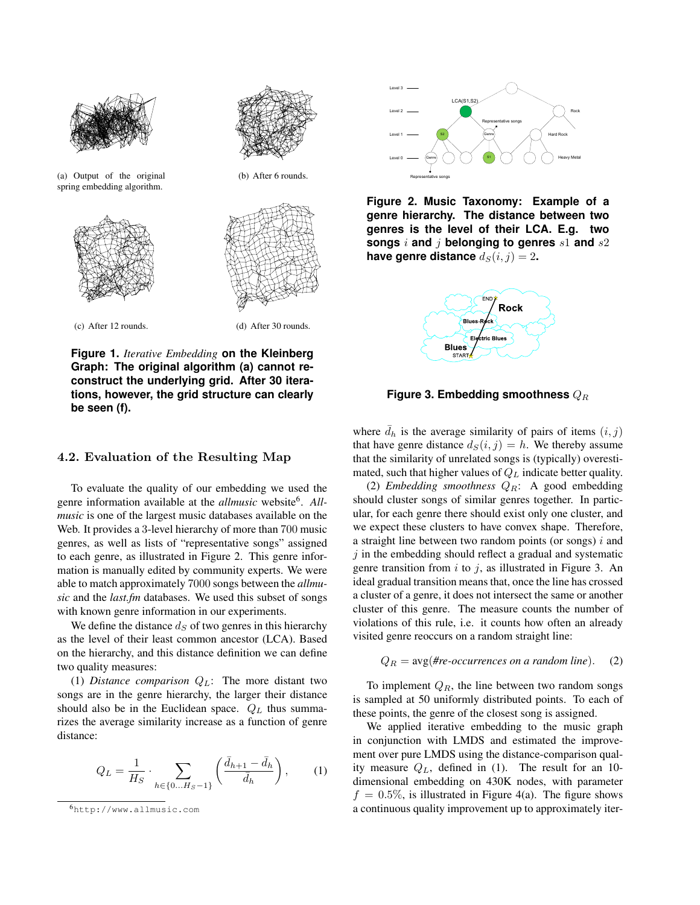



(a) Output of the original spring embedding algorithm.



(b) After 6 rounds.



(c) After 12 rounds. (d) After 30 rounds.

**Figure 1.** *Iterative Embedding* **on the Kleinberg Graph: The original algorithm (a) cannot reconstruct the underlying grid. After 30 iterations, however, the grid structure can clearly be seen (f).**

### **4.2. Evaluation of the Resulting Map**

To evaluate the quality of our embedding we used the genre information available at the *allmusic* website6. *Allmusic* is one of the largest music databases available on the Web. It provides a 3-level hierarchy of more than 700 music genres, as well as lists of "representative songs" assigned to each genre, as illustrated in Figure 2. This genre information is manually edited by community experts. We were able to match approximately 7000 songs between the *allmusic* and the *last.fm* databases. We used this subset of songs with known genre information in our experiments.

We define the distance  $d<sub>S</sub>$  of two genres in this hierarchy as the level of their least common ancestor (LCA). Based on the hierarchy, and this distance definition we can define two quality measures:

(1) *Distance comparison*  $Q_L$ : The more distant two songs are in the genre hierarchy, the larger their distance should also be in the Euclidean space.  $Q_L$  thus summarizes the average similarity increase as a function of genre distance:

$$
Q_L = \frac{1}{H_S} \cdot \sum_{h \in \{0...H_S - 1\}} \left( \frac{\bar{d}_{h+1} - \bar{d}_h}{\bar{d}_h} \right), \quad (1)
$$



**Figure 2. Music Taxonomy: Example of a genre hierarchy. The distance between two genres is the level of their LCA. E.g. two songs** <sup>i</sup> **and** <sup>j</sup> **belonging to genres** <sup>s</sup>1 **and** <sup>s</sup>2 **have genre distance**  $d_S(i, j) = 2$ .



**Figure 3. Embedding smoothness**  $Q_R$ 

where  $\bar{d}_h$  is the average similarity of pairs of items  $(i, j)$ <br>that have genre distance  $d_G(i, j) = h$ . We thereby assume that have genre distance  $d_S(i, j) = h$ . We thereby assume that the similarity of unrelated songs is (typically) overestimated, such that higher values of  $Q_L$  indicate better quality.

(2) *Embedding smoothness*  $Q_R$ : A good embedding should cluster songs of similar genres together. In particular, for each genre there should exist only one cluster, and we expect these clusters to have convex shape. Therefore, a straight line between two random points (or songs)  $i$  and  $i$  in the embedding should reflect a gradual and systematic genre transition from  $i$  to  $j$ , as illustrated in Figure 3. An ideal gradual transition means that, once the line has crossed a cluster of a genre, it does not intersect the same or another cluster of this genre. The measure counts the number of violations of this rule, i.e. it counts how often an already visited genre reoccurs on a random straight line:

$$
Q_R = \text{avg}(\text{\#re-occurrences on a random line}).
$$
 (2)

To implement  $Q_R$ , the line between two random songs is sampled at 50 uniformly distributed points. To each of these points, the genre of the closest song is assigned.

We applied iterative embedding to the music graph in conjunction with LMDS and estimated the improvement over pure LMDS using the distance-comparison quality measure  $Q_L$ , defined in (1). The result for an 10dimensional embedding on 430K nodes, with parameter  $f = 0.5\%$ , is illustrated in Figure 4(a). The figure shows a continuous quality improvement up to approximately iter-

<sup>6</sup>http://www.allmusic.com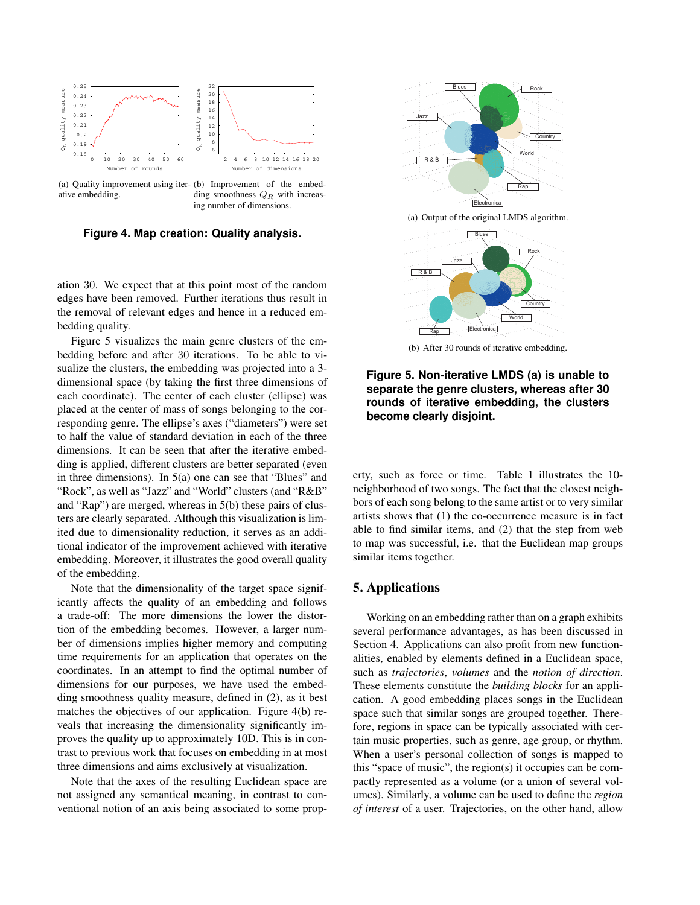

(a) Quality improvement using iter-(b) Improvement of the embedative embedding. ding smoothness  $Q_R$  with increasing number of dimensions.

**Figure 4. Map creation: Quality analysis.**

ation 30. We expect that at this point most of the random edges have been removed. Further iterations thus result in the removal of relevant edges and hence in a reduced embedding quality.

Figure 5 visualizes the main genre clusters of the embedding before and after 30 iterations. To be able to visualize the clusters, the embedding was projected into a 3 dimensional space (by taking the first three dimensions of each coordinate). The center of each cluster (ellipse) was placed at the center of mass of songs belonging to the corresponding genre. The ellipse's axes ("diameters") were set to half the value of standard deviation in each of the three dimensions. It can be seen that after the iterative embedding is applied, different clusters are better separated (even in three dimensions). In 5(a) one can see that "Blues" and "Rock", as well as "Jazz" and "World" clusters (and "R&B" and "Rap") are merged, whereas in 5(b) these pairs of clusters are clearly separated. Although this visualization is limited due to dimensionality reduction, it serves as an additional indicator of the improvement achieved with iterative embedding. Moreover, it illustrates the good overall quality of the embedding.

Note that the dimensionality of the target space significantly affects the quality of an embedding and follows a trade-off: The more dimensions the lower the distortion of the embedding becomes. However, a larger number of dimensions implies higher memory and computing time requirements for an application that operates on the coordinates. In an attempt to find the optimal number of dimensions for our purposes, we have used the embedding smoothness quality measure, defined in (2), as it best matches the objectives of our application. Figure 4(b) reveals that increasing the dimensionality significantly improves the quality up to approximately 10D. This is in contrast to previous work that focuses on embedding in at most three dimensions and aims exclusively at visualization.

Note that the axes of the resulting Euclidean space are not assigned any semantical meaning, in contrast to conventional notion of an axis being associated to some prop-



**Figure 5. Non-iterative LMDS (a) is unable to separate the genre clusters, whereas after 30 rounds of iterative embedding, the clusters become clearly disjoint.**

erty, such as force or time. Table 1 illustrates the 10 neighborhood of two songs. The fact that the closest neighbors of each song belong to the same artist or to very similar artists shows that (1) the co-occurrence measure is in fact able to find similar items, and (2) that the step from web to map was successful, i.e. that the Euclidean map groups similar items together.

# 5. Applications

Working on an embedding rather than on a graph exhibits several performance advantages, as has been discussed in Section 4. Applications can also profit from new functionalities, enabled by elements defined in a Euclidean space, such as *trajectories*, *volumes* and the *notion of direction*. These elements constitute the *building blocks* for an application. A good embedding places songs in the Euclidean space such that similar songs are grouped together. Therefore, regions in space can be typically associated with certain music properties, such as genre, age group, or rhythm. When a user's personal collection of songs is mapped to this "space of music", the region(s) it occupies can be compactly represented as a volume (or a union of several volumes). Similarly, a volume can be used to define the *region of interest* of a user. Trajectories, on the other hand, allow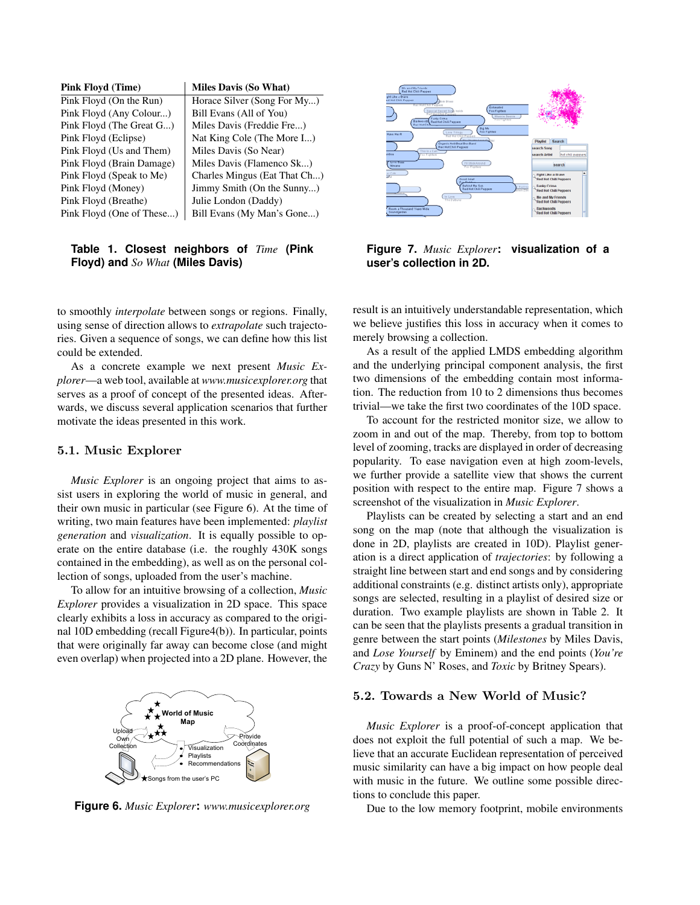| <b>Pink Floyd (Time)</b>  | <b>Miles Davis (So What)</b> |
|---------------------------|------------------------------|
| Pink Floyd (On the Run)   | Horace Silver (Song For My)  |
| Pink Floyd (Any Colour)   | Bill Evans (All of You)      |
| Pink Floyd (The Great G)  | Miles Davis (Freddie Fre)    |
| Pink Floyd (Eclipse)      | Nat King Cole (The More I)   |
| Pink Floyd (Us and Them)  | Miles Davis (So Near)        |
| Pink Floyd (Brain Damage) | Miles Davis (Flamenco Sk)    |
| Pink Floyd (Speak to Me)  | Charles Mingus (Eat That Ch) |
| Pink Floyd (Money)        | Jimmy Smith (On the Sunny)   |
| Pink Floyd (Breathe)      | Julie London (Daddy)         |
| Pink Floyd (One of These) | Bill Evans (My Man's Gone)   |

### **Table 1. Closest neighbors of** *Time* **(Pink Floyd) and** *So What* **(Miles Davis)**

to smoothly *interpolate* between songs or regions. Finally, using sense of direction allows to *extrapolate* such trajectories. Given a sequence of songs, we can define how this list could be extended.

As a concrete example we next present *Music Explorer*—a web tool, available at *www.musicexplorer.org* that serves as a proof of concept of the presented ideas. Afterwards, we discuss several application scenarios that further motivate the ideas presented in this work.

#### **5.1. Music Explorer**

*Music Explorer* is an ongoing project that aims to assist users in exploring the world of music in general, and their own music in particular (see Figure 6). At the time of writing, two main features have been implemented: *playlist generation* and *visualization*. It is equally possible to operate on the entire database (i.e. the roughly 430K songs contained in the embedding), as well as on the personal collection of songs, uploaded from the user's machine.

To allow for an intuitive browsing of a collection, *Music Explorer* provides a visualization in 2D space. This space clearly exhibits a loss in accuracy as compared to the original 10D embedding (recall Figure4(b)). In particular, points that were originally far away can become close (and might even overlap) when projected into a 2D plane. However, the



**Figure 6.** *Music Explorer***:** *www.musicexplorer.org*



**Figure 7.** *Music Explorer***: visualization of a user's collection in 2D.**

result is an intuitively understandable representation, which we believe justifies this loss in accuracy when it comes to merely browsing a collection.

As a result of the applied LMDS embedding algorithm and the underlying principal component analysis, the first two dimensions of the embedding contain most information. The reduction from 10 to 2 dimensions thus becomes trivial—we take the first two coordinates of the 10D space.

To account for the restricted monitor size, we allow to zoom in and out of the map. Thereby, from top to bottom level of zooming, tracks are displayed in order of decreasing popularity. To ease navigation even at high zoom-levels, we further provide a satellite view that shows the current position with respect to the entire map. Figure 7 shows a screenshot of the visualization in *Music Explorer*.

Playlists can be created by selecting a start and an end song on the map (note that although the visualization is done in 2D, playlists are created in 10D). Playlist generation is a direct application of *trajectories*: by following a straight line between start and end songs and by considering additional constraints (e.g. distinct artists only), appropriate songs are selected, resulting in a playlist of desired size or duration. Two example playlists are shown in Table 2. It can be seen that the playlists presents a gradual transition in genre between the start points (*Milestones* by Miles Davis, and *Lose Yourself* by Eminem) and the end points (*You're Crazy* by Guns N' Roses, and *Toxic* by Britney Spears).

#### **5.2. Towards a New World of Music?**

*Music Explorer* is a proof-of-concept application that does not exploit the full potential of such a map. We believe that an accurate Euclidean representation of perceived music similarity can have a big impact on how people deal with music in the future. We outline some possible directions to conclude this paper.

Due to the low memory footprint, mobile environments